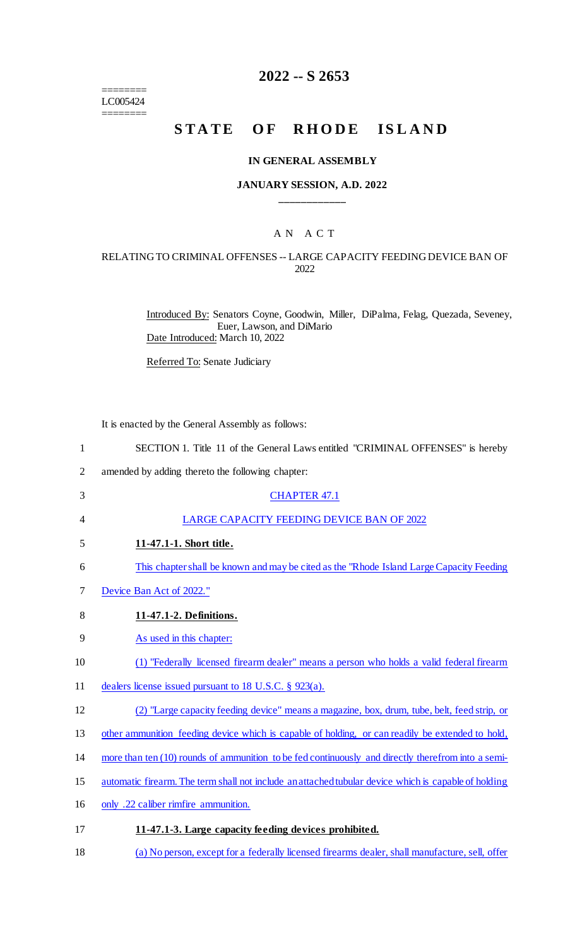======== LC005424

========

## **2022 -- S 2653**

# **STATE OF RHODE ISLAND**

#### **IN GENERAL ASSEMBLY**

#### **JANUARY SESSION, A.D. 2022 \_\_\_\_\_\_\_\_\_\_\_\_**

## A N A C T

#### RELATING TO CRIMINAL OFFENSES -- LARGE CAPACITY FEEDING DEVICE BAN OF 2022

Introduced By: Senators Coyne, Goodwin, Miller, DiPalma, Felag, Quezada, Seveney, Euer, Lawson, and DiMario Date Introduced: March 10, 2022

Referred To: Senate Judiciary

It is enacted by the General Assembly as follows:

| $\mathbf{1}$   | SECTION 1. Title 11 of the General Laws entitled "CRIMINAL OFFENSES" is hereby                       |
|----------------|------------------------------------------------------------------------------------------------------|
| $\overline{2}$ | amended by adding thereto the following chapter:                                                     |
| 3              | <b>CHAPTER 47.1</b>                                                                                  |
| 4              | LARGE CAPACITY FEEDING DEVICE BAN OF 2022                                                            |
| 5              | 11-47.1-1. Short title.                                                                              |
| 6              | This chapter shall be known and may be cited as the "Rhode Island Large Capacity Feeding"            |
| 7              | Device Ban Act of 2022."                                                                             |
| 8              | 11-47.1-2. Definitions.                                                                              |
| 9              | As used in this chapter:                                                                             |
| 10             | (1) "Federally licensed firearm dealer" means a person who holds a valid federal firearm             |
| 11             | dealers license issued pursuant to 18 U.S.C. $\S$ 923(a).                                            |
| 12             | (2) "Large capacity feeding device" means a magazine, box, drum, tube, belt, feed strip, or          |
| 13             | other ammunition feeding device which is capable of holding, or can readily be extended to hold,     |
| 14             | more than ten (10) rounds of ammunition to be fed continuously and directly therefrom into a semi-   |
| 15             | automatic firearm. The term shall not include an attached tubular device which is capable of holding |
| 16             | only .22 caliber rimfire ammunition.                                                                 |
| 17             | 11-47.1-3. Large capacity feeding devices prohibited.                                                |
| 18             | (a) No person, except for a federally licensed firearms dealer, shall manufacture, sell, offer       |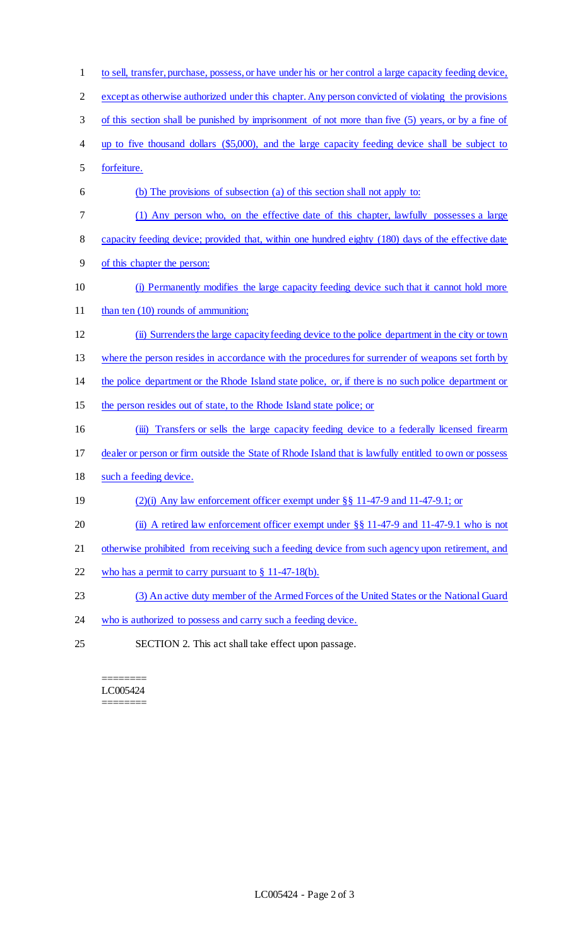to sell, transfer, purchase, possess, or have under his or her control a large capacity feeding device, except as otherwise authorized under this chapter. Any person convicted of violating the provisions of this section shall be punished by imprisonment of not more than five (5) years, or by a fine of up to five thousand dollars (\$5,000), and the large capacity feeding device shall be subject to forfeiture. (b) The provisions of subsection (a) of this section shall not apply to: (1) Any person who, on the effective date of this chapter, lawfully possesses a large 8 capacity feeding device; provided that, within one hundred eighty (180) days of the effective date of this chapter the person: (i) Permanently modifies the large capacity feeding device such that it cannot hold more 11 than ten (10) rounds of ammunition; (ii) Surrenders the large capacity feeding device to the police department in the city or town 13 where the person resides in accordance with the procedures for surrender of weapons set forth by the police department or the Rhode Island state police, or, if there is no such police department or 15 the person resides out of state, to the Rhode Island state police; or 16 (iii) Transfers or sells the large capacity feeding device to a federally licensed firearm dealer or person or firm outside the State of Rhode Island that is lawfully entitled to own or possess such a feeding device. (2)(i) Any law enforcement officer exempt under §§ 11-47-9 and 11-47-9.1; or 20 (ii) A retired law enforcement officer exempt under §§ 11-47-9 and 11-47-9.1 who is not 21 otherwise prohibited from receiving such a feeding device from such agency upon retirement, and who has a permit to carry pursuant to § 11-47-18(b). (3) An active duty member of the Armed Forces of the United States or the National Guard 24 who is authorized to possess and carry such a feeding device. SECTION 2. This act shall take effect upon passage.

======== LC005424 ========